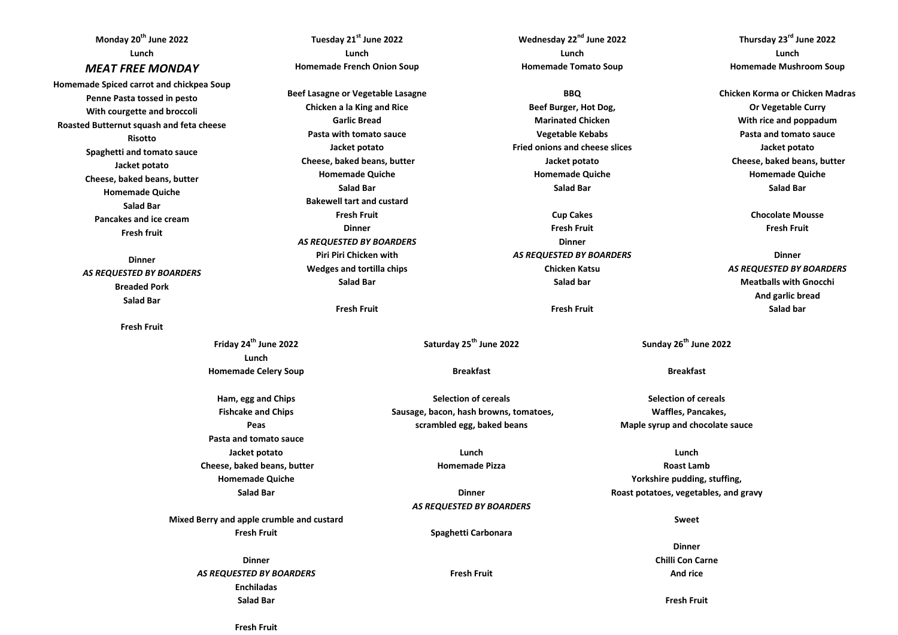**Tuesday 21st June 2022 Lunch Homemade French Onion Soup Beef Lasagne or Vegetable Lasagne Chicken a la King and Rice Garlic Bread Pasta with tomato sauce Jacket potato Cheese, baked beans, butter Homemade Quiche Salad Bar Bakewell tart and custard Fresh Fruit Dinner** *AS REQUESTED BY BOARDERS* **Piri Piri Chicken with Wedges and tortilla chips Salad Bar Fresh Fruit Friday 24th June 2022 Lunch Homemade Celery Soup Ham, egg and Chips Fishcake and Chips Peas Pasta and tomato sauce Jacket potato Cheese, baked beans, butter Homemade Quiche Salad Bar Mixed Berry and apple crumble and custard Fresh Fruit Dinner** *AS REQUESTED BY BOARDERS* **Enchiladas Salad Bar Monday 20th June 2022 Lunch** *MEAT FREE MONDAY* **Homemade Spiced carrot and chickpea Soup Penne Pasta tossed in pesto With courgette and broccoli Roasted Butternut squash and feta cheese Risotto Spaghetti and tomato sauce Jacket potato Cheese, baked beans, butter Homemade Quiche Salad Bar Pancakes and ice cream Fresh fruit Dinner** *AS REQUESTED BY BOARDERS* **Breaded Pork Salad Bar Fresh Fruit**

**Wednesday 22nd June 2022 Lunch Homemade Tomato Soup**

**BBQ Beef Burger, Hot Dog, Marinated Chicken Vegetable Kebabs Fried onions and cheese slices Jacket potato Homemade Quiche Salad Bar**

**Cup Cakes Fresh Fruit Dinner** *AS REQUESTED BY BOARDERS* **Chicken Katsu Salad bar**

**Fresh Fruit**

**Saturday 25th June 2022**

**Breakfast**

**Selection of cereals Sausage, bacon, hash browns, tomatoes, scrambled egg, baked beans**

> **Lunch Homemade Pizza**

**Dinner** *AS REQUESTED BY BOARDERS*

**Spaghetti Carbonara**

**Fresh Fruit**

**Thursday 23rd June 2022 Lunch Homemade Mushroom Soup**

**Chicken Korma or Chicken Madras Or Vegetable Curry With rice and poppadum Pasta and tomato sauce Jacket potato Cheese, baked beans, butter Homemade Quiche Salad Bar**

> **Chocolate Mousse Fresh Fruit**

**Dinner** *AS REQUESTED BY BOARDERS* **Meatballs with Gnocchi And garlic bread Salad bar**

**Sunday 26th June 2022**

**Breakfast**

**Selection of cereals Waffles, Pancakes, Maple syrup and chocolate sauce**

**Lunch Roast Lamb Yorkshire pudding, stuffing, Roast potatoes, vegetables, and gravy**

**Sweet**

**Dinner Chilli Con Carne And rice**

**Fresh Fruit**

**Fresh Fruit**